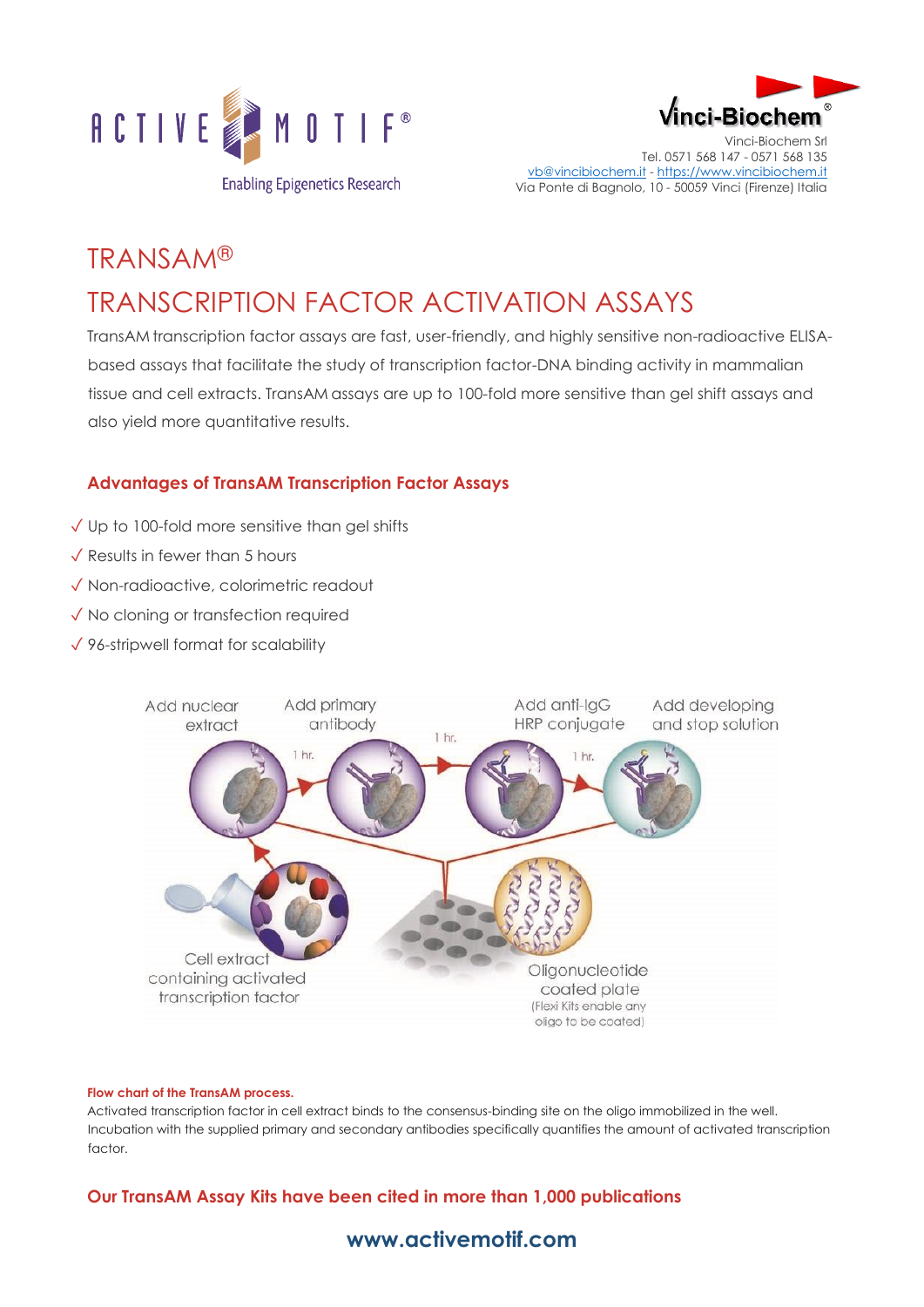



Vinci-Biochem Srl Tel. 0571 568 147 - 0571 568 135 [vb@vincibiochem.it](mailto:vb@vincibiochem.it) - [https://www.vincibiochem.it](https://www.vincibiochem.it/) Via Ponte di Bagnolo, 10 - 50059 Vinci (Firenze) Italia

# TRANSAM® TRANSCRIPTION FACTOR ACTIVATION ASSAYS

TransAM transcription factor assays are fast, user-friendly, and highly sensitive non-radioactive ELISAbased assays that facilitate the study of transcription factor-DNA binding activity in mammalian tissue and cell extracts. TransAM assays are up to 100-fold more sensitive than gel shift assays and also yield more quantitative results.

#### **Advantages of TransAM Transcription Factor Assays**

- ✓ Up to 100-fold more sensitive than gel shifts
- ✓ Results in fewer than 5 hours
- ✓ Non-radioactive, colorimetric readout
- ✓ No cloning or transfection required
- ✓ 96-stripwell format for scalability



#### **Flow chart of the TransAM process.**

Activated transcription factor in cell extract binds to the consensus-binding site on the oligo immobilized in the well. Incubation with the supplied primary and secondary antibodies specifically quantifies the amount of activated transcription factor.

#### **Our TransAM Assay Kits have been cited in more than 1,000 publications**

### **[www.activemotif.com](http://www.activemotif.com/)**